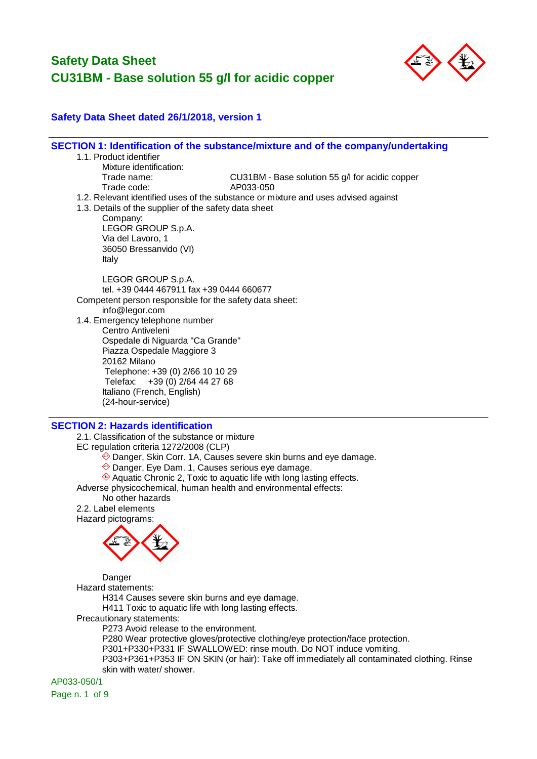

#### **Safety Data Sheet dated 26/1/2018, version 1**

**SECTION 1: Identification of the substance/mixture and of the company/undertaking** 1.1. Product identifier Mixture identification: Trade name: CU31BM - Base solution 55 g/l for acidic copper Trade code: AP033-050 1.2. Relevant identified uses of the substance or mixture and uses advised against 1.3. Details of the supplier of the safety data sheet Company: LEGOR GROUP S.p.A. Via del Lavoro, 1 36050 Bressanvido (VI) Italy LEGOR GROUP S.p.A. tel. +39 0444 467911 fax +39 0444 660677 Competent person responsible for the safety data sheet: info@legor.com 1.4. Emergency telephone number Centro Antiveleni Ospedale di Niguarda "Ca Grande" Piazza Ospedale Maggiore 3 20162 Milano Telephone: +39 (0) 2/66 10 10 29 Telefax: +39 (0) 2/64 44 27 68 Italiano (French, English) (24-hour-service)

#### **SECTION 2: Hazards identification**

2.1. Classification of the substance or mixture

EC regulation criteria 1272/2008 (CLP)

- Danger, Skin Corr. 1A, Causes severe skin burns and eye damage.
- Danger, Eye Dam. 1, Causes serious eye damage.
- Aquatic Chronic 2, Toxic to aquatic life with long lasting effects.

Adverse physicochemical, human health and environmental effects:

No other hazards

2.2. Label elements Hazard pictograms:



Danger

Hazard statements:

H314 Causes severe skin burns and eye damage.

H411 Toxic to aquatic life with long lasting effects.

Precautionary statements:

P273 Avoid release to the environment.

P280 Wear protective gloves/protective clothing/eye protection/face protection.

P301+P330+P331 IF SWALLOWED: rinse mouth. Do NOT induce vomiting.

P303+P361+P353 IF ON SKIN (or hair): Take off immediately all contaminated clothing. Rinse skin with water/ shower.

AP033-050/1

Page n. 1 of 9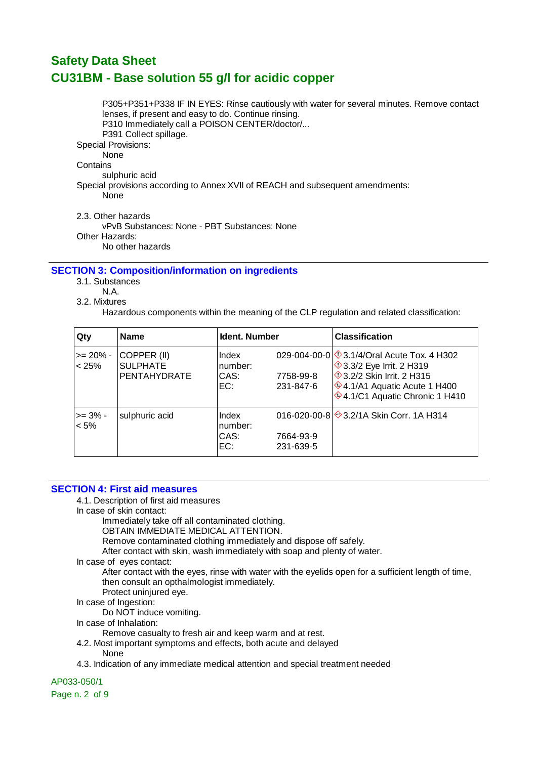P305+P351+P338 IF IN EYES: Rinse cautiously with water for several minutes. Remove contact lenses, if present and easy to do. Continue rinsing. P310 Immediately call a POISON CENTER/doctor/... P391 Collect spillage. Special Provisions: None **Contains** sulphuric acid Special provisions according to Annex XVII of REACH and subsequent amendments: None 2.3. Other hazards vPvB Substances: None - PBT Substances: None Other Hazards:

No other hazards

#### **SECTION 3: Composition/information on ingredients**

3.1. Substances

- N.A.
- 3.2. Mixtures

Hazardous components within the meaning of the CLP regulation and related classification:

| Qty                   | <b>Name</b>                                           | <b>Ident. Number</b>            |                        | <b>Classification</b>                                                                                                                                                                              |
|-----------------------|-------------------------------------------------------|---------------------------------|------------------------|----------------------------------------------------------------------------------------------------------------------------------------------------------------------------------------------------|
| $>= 20\%$ -<br>< 25%  | COPPER (II)<br><b>SULPHATE</b><br><b>PENTAHYDRATE</b> | Index<br>number:<br>CAS:<br>EC: | 7758-99-8<br>231-847-6 | 029-004-00-0 $\sqrt{$}3.1/4$ /Oral Acute Tox. 4 H302<br><b>1</b> 3.3/2 Eye Irrit. 2 H319<br><b>1</b> 3.2/2 Skin Irrit, 2 H315<br>$*$ 4.1/A1 Aquatic Acute 1 H400<br>♦4.1/C1 Aquatic Chronic 1 H410 |
| $>= 3\%$ -<br>$< 5\%$ | sulphuric acid                                        | Index<br>number:<br>CAS:<br>EC: | 7664-93-9<br>231-639-5 | 016-020-00-8 3.2/1A Skin Corr. 1A H314                                                                                                                                                             |

#### **SECTION 4: First aid measures**

4.1. Description of first aid measures

In case of skin contact:

Immediately take off all contaminated clothing.

OBTAIN IMMEDIATE MEDICAL ATTENTION.

Remove contaminated clothing immediately and dispose off safely.

After contact with skin, wash immediately with soap and plenty of water.

In case of eyes contact:

After contact with the eyes, rinse with water with the eyelids open for a sufficient length of time, then consult an opthalmologist immediately.

Protect uninjured eye.

In case of Ingestion:

Do NOT induce vomiting.

In case of Inhalation:

Remove casualty to fresh air and keep warm and at rest.

4.2. Most important symptoms and effects, both acute and delayed None

4.3. Indication of any immediate medical attention and special treatment needed

AP033-050/1

Page n. 2 of 9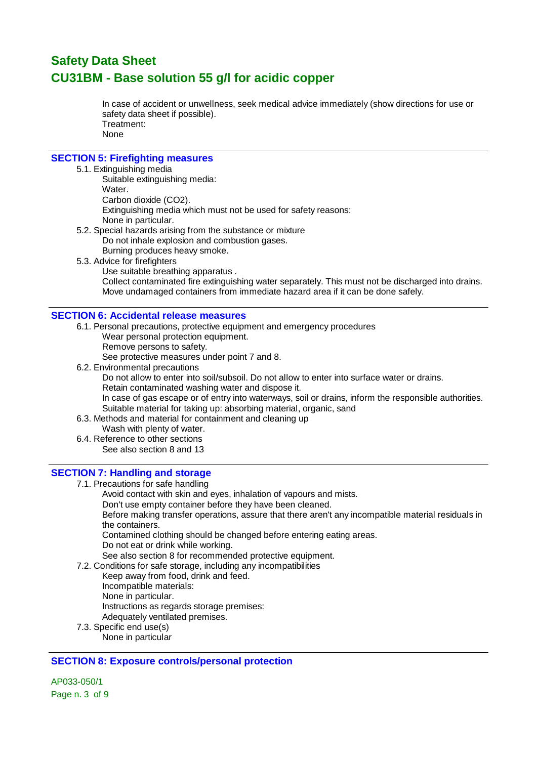In case of accident or unwellness, seek medical advice immediately (show directions for use or safety data sheet if possible). Treatment: None

#### **SECTION 5: Firefighting measures**

#### 5.1. Extinguishing media

Suitable extinguishing media: Water. Carbon dioxide (CO2). Extinguishing media which must not be used for safety reasons: None in particular. 5.2. Special hazards arising from the substance or mixture

- Do not inhale explosion and combustion gases. Burning produces heavy smoke.
- 5.3. Advice for firefighters
	- Use suitable breathing apparatus . Collect contaminated fire extinguishing water separately. This must not be discharged into drains. Move undamaged containers from immediate hazard area if it can be done safely.

#### **SECTION 6: Accidental release measures**

- 6.1. Personal precautions, protective equipment and emergency procedures Wear personal protection equipment.
	- Remove persons to safety. See protective measures under point 7 and 8.
- 6.2. Environmental precautions
	- Do not allow to enter into soil/subsoil. Do not allow to enter into surface water or drains. Retain contaminated washing water and dispose it. In case of gas escape or of entry into waterways, soil or drains, inform the responsible authorities. Suitable material for taking up: absorbing material, organic, sand
- 6.3. Methods and material for containment and cleaning up
	- Wash with plenty of water.
- 6.4. Reference to other sections See also section 8 and 13

#### **SECTION 7: Handling and storage**

7.1. Precautions for safe handling

Avoid contact with skin and eyes, inhalation of vapours and mists.

Don't use empty container before they have been cleaned.

Before making transfer operations, assure that there aren't any incompatible material residuals in the containers.

Contamined clothing should be changed before entering eating areas.

Do not eat or drink while working.

See also section 8 for recommended protective equipment.

7.2. Conditions for safe storage, including any incompatibilities

Keep away from food, drink and feed.

Incompatible materials:

None in particular.

Instructions as regards storage premises:

Adequately ventilated premises.

7.3. Specific end use(s) None in particular

#### **SECTION 8: Exposure controls/personal protection**

AP033-050/1 Page n. 3 of 9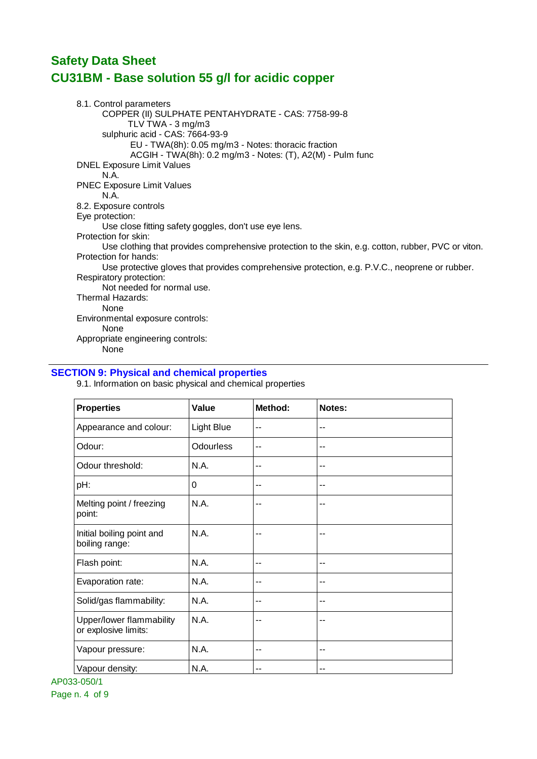8.1. Control parameters COPPER (II) SULPHATE PENTAHYDRATE - CAS: 7758-99-8 TLV TWA - 3 mg/m3 sulphuric acid - CAS: 7664-93-9 EU - TWA(8h): 0.05 mg/m3 - Notes: thoracic fraction ACGIH - TWA(8h): 0.2 mg/m3 - Notes: (T), A2(M) - Pulm func DNEL Exposure Limit Values N.A. PNEC Exposure Limit Values N.A. 8.2. Exposure controls Eye protection: Use close fitting safety goggles, don't use eye lens. Protection for skin: Use clothing that provides comprehensive protection to the skin, e.g. cotton, rubber, PVC or viton. Protection for hands: Use protective gloves that provides comprehensive protection, e.g. P.V.C., neoprene or rubber. Respiratory protection: Not needed for normal use. Thermal Hazards: None Environmental exposure controls: None Appropriate engineering controls: None

#### **SECTION 9: Physical and chemical properties**

9.1. Information on basic physical and chemical properties

| <b>Properties</b>                                | Value            | Method: | Notes: |
|--------------------------------------------------|------------------|---------|--------|
| Appearance and colour:                           | Light Blue       | --      | --     |
| Odour:                                           | <b>Odourless</b> | --      | --     |
| Odour threshold:                                 | N.A.             | --      | --     |
| pH:                                              | 0                | --      | --     |
| Melting point / freezing<br>point:               | N.A.             | --      | --     |
| Initial boiling point and<br>boiling range:      | N.A.             | --      | --     |
| Flash point:                                     | N.A.             | --      | --     |
| Evaporation rate:                                | N.A.             | --      | --     |
| Solid/gas flammability:                          | N.A.             | --      | --     |
| Upper/lower flammability<br>or explosive limits: | N.A.             | --      | --     |
| Vapour pressure:                                 | N.A.             | --      | --     |
| Vapour density:                                  | N.A.             | --      | --     |

AP033-050/1 Page n. 4 of 9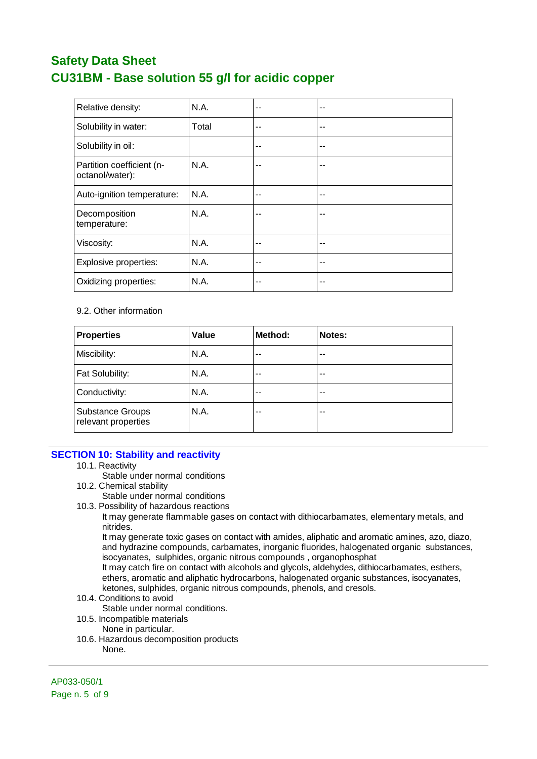| Relative density:                            | N.A.  | -- | $-$ |
|----------------------------------------------|-------|----|-----|
| Solubility in water:                         | Total | -- | --  |
| Solubility in oil:                           |       | -- | --  |
| Partition coefficient (n-<br>octanol/water): | N.A.  | -- | --  |
| Auto-ignition temperature:                   | N.A.  | -- | --  |
| Decomposition<br>temperature:                | N.A.  | -- | --  |
| Viscosity:                                   | N.A.  | -- | --  |
| Explosive properties:                        | N.A.  | -- | $-$ |
| Oxidizing properties:                        | N.A.  | -- | --  |

#### 9.2. Other information

| <b>Properties</b>                              | Value | Method: | Notes: |
|------------------------------------------------|-------|---------|--------|
| Miscibility:                                   | N.A.  | --      | $-$    |
| Fat Solubility:                                | N.A.  | --      | $-$    |
| Conductivity:                                  | N.A.  | --      | $-$    |
| <b>Substance Groups</b><br>relevant properties | N.A.  | --      | --     |

#### **SECTION 10: Stability and reactivity**

10.1. Reactivity

Stable under normal conditions

- 10.2. Chemical stability
	- Stable under normal conditions
- 10.3. Possibility of hazardous reactions

It may generate flammable gases on contact with dithiocarbamates, elementary metals, and nitrides.

It may generate toxic gases on contact with amides, aliphatic and aromatic amines, azo, diazo, and hydrazine compounds, carbamates, inorganic fluorides, halogenated organic substances, isocyanates, sulphides, organic nitrous compounds , organophosphat

It may catch fire on contact with alcohols and glycols, aldehydes, dithiocarbamates, esthers, ethers, aromatic and aliphatic hydrocarbons, halogenated organic substances, isocyanates, ketones, sulphides, organic nitrous compounds, phenols, and cresols.

10.4. Conditions to avoid

Stable under normal conditions.

10.5. Incompatible materials

None in particular.

10.6. Hazardous decomposition products None.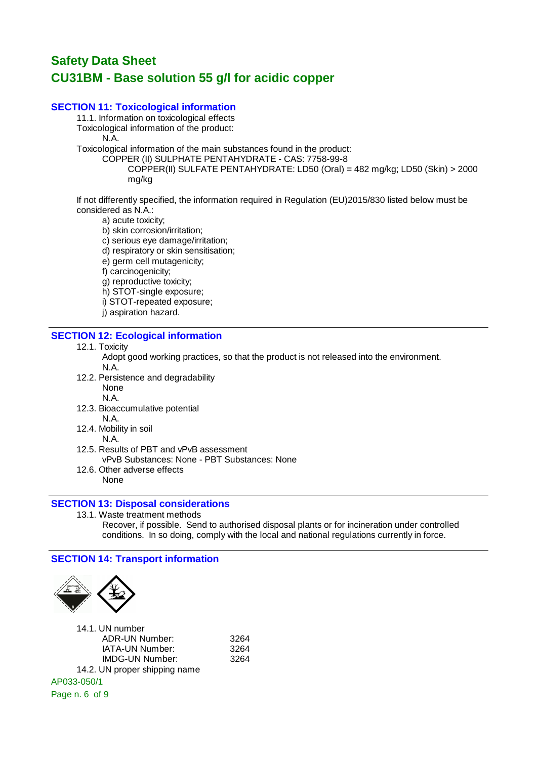#### **SECTION 11: Toxicological information**

11.1. Information on toxicological effects Toxicological information of the product:

N.A.

Toxicological information of the main substances found in the product:

COPPER (II) SULPHATE PENTAHYDRATE - CAS: 7758-99-8

COPPER(II) SULFATE PENTAHYDRATE: LD50 (Oral) = 482 mg/kg; LD50 (Skin) > 2000 mg/kg

If not differently specified, the information required in Regulation (EU)2015/830 listed below must be considered as N.A.:

a) acute toxicity;

- b) skin corrosion/irritation;
- c) serious eye damage/irritation;
- d) respiratory or skin sensitisation;
- e) germ cell mutagenicity;
- f) carcinogenicity;
- g) reproductive toxicity;
- h) STOT-single exposure;
- i) STOT-repeated exposure;
- j) aspiration hazard.

#### **SECTION 12: Ecological information**

12.1. Toxicity

Adopt good working practices, so that the product is not released into the environment. N.A.

- 12.2. Persistence and degradability
	- None
	- N.A.
- 12.3. Bioaccumulative potential
	- N.A.
- 12.4. Mobility in soil
	- N.A.
- 12.5. Results of PBT and vPvB assessment vPvB Substances: None - PBT Substances: None
- 12.6. Other adverse effects
	- None

#### **SECTION 13: Disposal considerations**

13.1. Waste treatment methods Recover, if possible. Send to authorised disposal plants or for incineration under controlled conditions. In so doing, comply with the local and national regulations currently in force.

#### **SECTION 14: Transport information**



| 14.1. UN number               |      |
|-------------------------------|------|
| ADR-UN Number:                | 3264 |
| IATA-UN Number:               | 3264 |
| <b>IMDG-UN Number:</b>        | 3264 |
| 14.2. UN proper shipping name |      |
| AP033-050/1                   |      |
| Page n. 6 of 9                |      |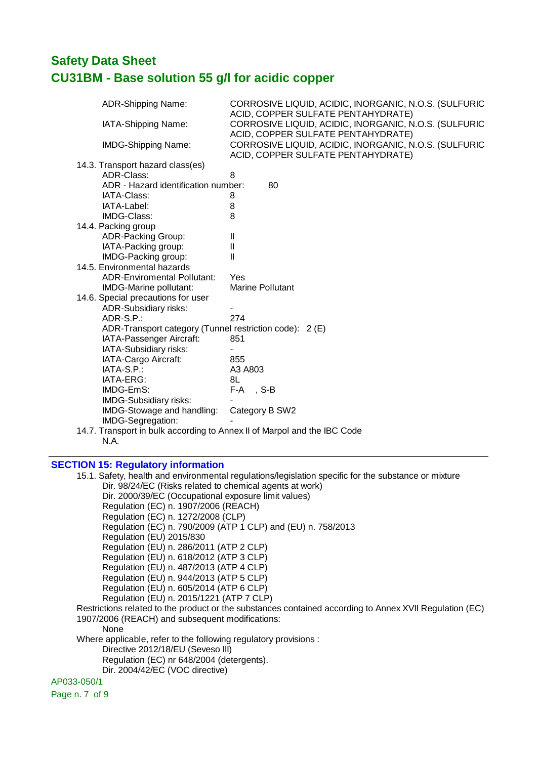| ADR-Shipping Name:                                      | CORROSIVE LIQUID, ACIDIC, INORGANIC, N.O.S. (SULFURIC                                                                             |
|---------------------------------------------------------|-----------------------------------------------------------------------------------------------------------------------------------|
| IATA-Shipping Name:                                     | ACID, COPPER SULFATE PENTAHYDRATE)<br>CORROSIVE LIQUID, ACIDIC, INORGANIC, N.O.S. (SULFURIC<br>ACID, COPPER SULFATE PENTAHYDRATE) |
| <b>IMDG-Shipping Name:</b>                              | CORROSIVE LIQUID, ACIDIC, INORGANIC, N.O.S. (SULFURIC<br>ACID, COPPER SULFATE PENTAHYDRATE)                                       |
| 14.3. Transport hazard class(es)                        |                                                                                                                                   |
| ADR-Class:                                              | 8                                                                                                                                 |
| ADR - Hazard identification number:                     | 80                                                                                                                                |
| IATA-Class:                                             | 8                                                                                                                                 |
| IATA-Label:                                             | 8                                                                                                                                 |
| <b>IMDG-Class:</b>                                      | 8                                                                                                                                 |
| 14.4. Packing group                                     |                                                                                                                                   |
| ADR-Packing Group:                                      | $\mathbf{I}$                                                                                                                      |
| IATA-Packing group:                                     | $\mathbf{I}$                                                                                                                      |
| IMDG-Packing group:                                     | Ш                                                                                                                                 |
| 14.5. Environmental hazards                             |                                                                                                                                   |
| <b>ADR-Enviromental Pollutant:</b>                      | Yes                                                                                                                               |
| IMDG-Marine pollutant:                                  | <b>Marine Pollutant</b>                                                                                                           |
| 14.6. Special precautions for user                      |                                                                                                                                   |
| ADR-Subsidiary risks:                                   |                                                                                                                                   |
| ADR-S.P.:                                               | 274                                                                                                                               |
| ADR-Transport category (Tunnel restriction code): 2 (E) |                                                                                                                                   |
| IATA-Passenger Aircraft:                                | 851                                                                                                                               |
| IATA-Subsidiary risks:                                  |                                                                                                                                   |
| IATA-Cargo Aircraft:                                    | 855                                                                                                                               |
| IATA-S.P.:                                              | A3 A803                                                                                                                           |
| IATA-ERG:                                               | 8L                                                                                                                                |
| IMDG-EmS:                                               | F-A, S-B                                                                                                                          |
| IMDG-Subsidiary risks:                                  |                                                                                                                                   |
| IMDG-Stowage and handling:                              | Category B SW2                                                                                                                    |
| IMDG-Segregation:                                       |                                                                                                                                   |
|                                                         | 14.7. Transport in bulk according to Annex II of Marpol and the IBC Code                                                          |
| N.A.                                                    |                                                                                                                                   |
|                                                         |                                                                                                                                   |
|                                                         |                                                                                                                                   |

### **SECTION 15: Regulatory information**

| 15.1. Safety, health and environmental regulations/legislation specific for the substance or mixture    |
|---------------------------------------------------------------------------------------------------------|
| Dir. 98/24/EC (Risks related to chemical agents at work)                                                |
| Dir. 2000/39/EC (Occupational exposure limit values)                                                    |
| Regulation (EC) n. 1907/2006 (REACH)                                                                    |
| Regulation (EC) n. 1272/2008 (CLP)                                                                      |
| Regulation (EC) n. 790/2009 (ATP 1 CLP) and (EU) n. 758/2013                                            |
| Regulation (EU) 2015/830                                                                                |
| Regulation (EU) n. 286/2011 (ATP 2 CLP)                                                                 |
| Regulation (EU) n. 618/2012 (ATP 3 CLP)                                                                 |
| Regulation (EU) n. 487/2013 (ATP 4 CLP)                                                                 |
| Regulation (EU) n. 944/2013 (ATP 5 CLP)                                                                 |
| Regulation (EU) n. 605/2014 (ATP 6 CLP)                                                                 |
| Regulation (EU) n. 2015/1221 (ATP 7 CLP)                                                                |
| Restrictions related to the product or the substances contained according to Annex XVII Regulation (EC) |
| 1907/2006 (REACH) and subsequent modifications:                                                         |
| None                                                                                                    |
| Where applicable, refer to the following regulatory provisions :                                        |
| Directive 2012/18/EU (Seveso III)                                                                       |
| Regulation (EC) nr 648/2004 (detergents).                                                               |
| Dir. 2004/42/EC (VOC directive)                                                                         |
| AP033-050/1                                                                                             |
|                                                                                                         |

Page n. 7 of 9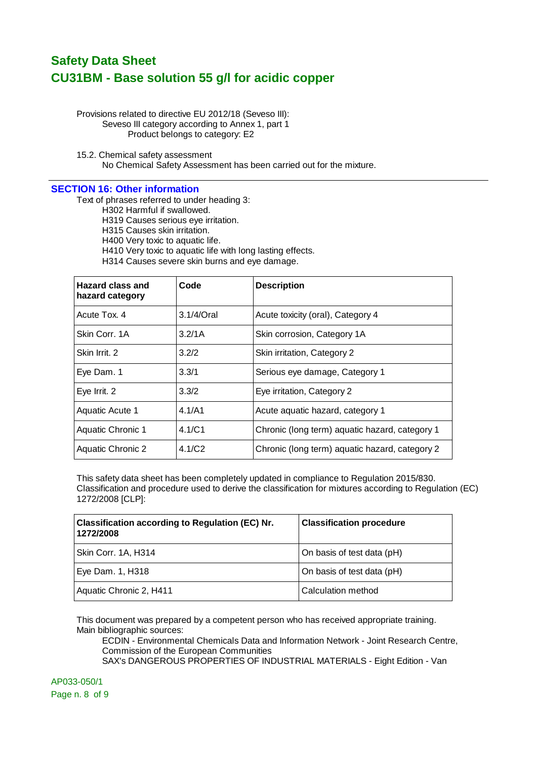Provisions related to directive EU 2012/18 (Seveso III): Seveso III category according to Annex 1, part 1 Product belongs to category: E2

15.2. Chemical safety assessment No Chemical Safety Assessment has been carried out for the mixture.

#### **SECTION 16: Other information**

Text of phrases referred to under heading 3:

H302 Harmful if swallowed.

H319 Causes serious eye irritation.

H315 Causes skin irritation.

H400 Very toxic to aquatic life.

H410 Very toxic to aquatic life with long lasting effects.

H314 Causes severe skin burns and eye damage.

| <b>Hazard class and</b><br>hazard category | Code               | <b>Description</b>                             |
|--------------------------------------------|--------------------|------------------------------------------------|
| Acute Tox, 4                               | $3.1/4$ /Oral      | Acute toxicity (oral), Category 4              |
| Skin Corr. 1A                              | 3.2/1A             | Skin corrosion, Category 1A                    |
| Skin Irrit. 2                              | 3.2/2              | Skin irritation, Category 2                    |
| Eye Dam. 1                                 | 3.3/1              | Serious eye damage, Category 1                 |
| Eye Irrit. 2                               | 3.3/2              | Eye irritation, Category 2                     |
| Aquatic Acute 1                            | 4.1/A1             | Acute aquatic hazard, category 1               |
| Aquatic Chronic 1                          | 4.1/C1             | Chronic (long term) aquatic hazard, category 1 |
| <b>Aquatic Chronic 2</b>                   | 4.1/C <sub>2</sub> | Chronic (long term) aquatic hazard, category 2 |

This safety data sheet has been completely updated in compliance to Regulation 2015/830. Classification and procedure used to derive the classification for mixtures according to Regulation (EC) 1272/2008 [CLP]:

| <b>Classification according to Regulation (EC) Nr.</b><br>1272/2008 | <b>Classification procedure</b> |
|---------------------------------------------------------------------|---------------------------------|
| Skin Corr. 1A, H314                                                 | On basis of test data (pH)      |
| Eye Dam. 1, H318                                                    | On basis of test data (pH)      |
| Aquatic Chronic 2, H411                                             | Calculation method              |

This document was prepared by a competent person who has received appropriate training. Main bibliographic sources:

ECDIN - Environmental Chemicals Data and Information Network - Joint Research Centre, Commission of the European Communities

SAX's DANGEROUS PROPERTIES OF INDUSTRIAL MATERIALS - Eight Edition - Van

AP033-050/1 Page n. 8 of 9